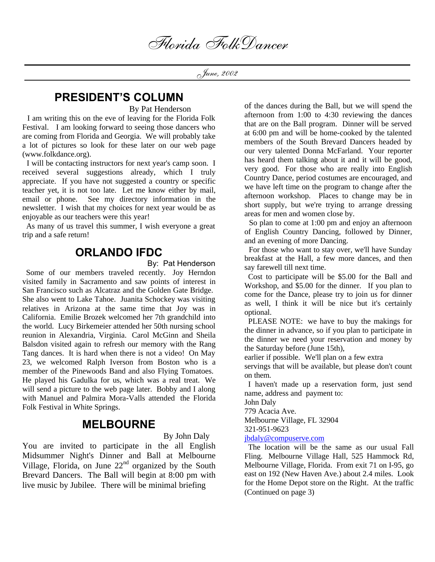Florida FolkDancer

June, 2002

# **PRESIDENT'S COLUMN**

By Pat Henderson

 I am writing this on the eve of leaving for the Florida Folk Festival. I am looking forward to seeing those dancers who are coming from Florida and Georgia. We will probably take a lot of pictures so look for these later on our web page (www.folkdance.org).

 I will be contacting instructors for next year's camp soon. I received several suggestions already, which I truly appreciate. If you have not suggested a country or specific teacher yet, it is not too late. Let me know either by mail, email or phone. See my directory information in the newsletter. I wish that my choices for next year would be as enjoyable as our teachers were this year!

 As many of us travel this summer, I wish everyone a great trip and a safe return!

# **ORLANDO IFDC**

By: Pat Henderson

 Some of our members traveled recently. Joy Herndon visited family in Sacramento and saw points of interest in San Francisco such as Alcatraz and the Golden Gate Bridge. She also went to Lake Tahoe. Juanita Schockey was visiting relatives in Arizona at the same time that Joy was in California. Emilie Brozek welcomed her 7th grandchild into the world. Lucy Birkemeier attended her 50th nursing school reunion in Alexandria, Virginia. Carol McGinn and Sheila Balsdon visited again to refresh our memory with the Rang Tang dances. It is hard when there is not a video! On May 23, we welcomed Ralph Iverson from Boston who is a member of the Pinewoods Band and also Flying Tomatoes. He played his Gadulka for us, which was a real treat. We will send a picture to the web page later. Bobby and I along with Manuel and Palmira Mora-Valls attended the Florida Folk Festival in White Springs.

## **MELBOURNE**

By John Daly

You are invited to participate in the all English Midsummer Night's Dinner and Ball at Melbourne Village, Florida, on June  $22<sup>nd</sup>$  organized by the South Brevard Dancers. The Ball will begin at 8:00 pm with live music by Jubilee. There will be minimal briefing

of the dances during the Ball, but we will spend the afternoon from 1:00 to 4:30 reviewing the dances that are on the Ball program. Dinner will be served at 6:00 pm and will be home-cooked by the talented members of the South Brevard Dancers headed by our very talented Donna McFarland. Your reporter has heard them talking about it and it will be good, very good. For those who are really into English Country Dance, period costumes are encouraged, and we have left time on the program to change after the afternoon workshop. Places to change may be in short supply, but we're trying to arrange dressing areas for men and women close by.

 So plan to come at 1:00 pm and enjoy an afternoon of English Country Dancing, followed by Dinner, and an evening of more Dancing.

 For those who want to stay over, we'll have Sunday breakfast at the Hall, a few more dances, and then say farewell till next time.

 Cost to participate will be \$5.00 for the Ball and Workshop, and \$5.00 for the dinner. If you plan to come for the Dance, please try to join us for dinner as well, I think it will be nice but it's certainly optional.

 PLEASE NOTE: we have to buy the makings for the dinner in advance, so if you plan to participate in the dinner we need your reservation and money by the Saturday before (June 15th),

earlier if possible. We'll plan on a few extra

servings that will be available, but please don't count on them.

 I haven't made up a reservation form, just send name, address and payment to:

John Daly

779 Acacia Ave.

Melbourne Village, FL 32904

321-951-9623

### jbdaly@compuserve.com

 The location will be the same as our usual Fall Fling. Melbourne Village Hall, 525 Hammock Rd, Melbourne Village, Florida. From exit 71 on I-95, go east on 192 (New Haven Ave.) about 2.4 miles. Look for the Home Depot store on the Right. At the traffic (Continued on page 3)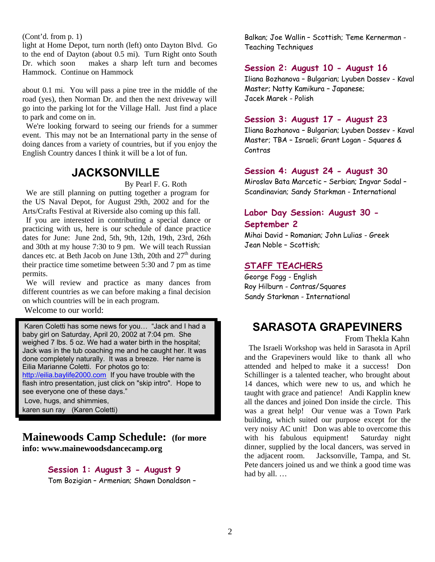(Cont'd. from p. 1)

light at Home Depot, turn north (left) onto Dayton Blvd. Go to the end of Dayton (about 0.5 mi). Turn Right onto South Dr. which soon makes a sharp left turn and becomes Hammock. Continue on Hammock

about 0.1 mi. You will pass a pine tree in the middle of the road (yes), then Norman Dr. and then the next driveway will go into the parking lot for the Village Hall. Just find a place to park and come on in.

 We're looking forward to seeing our friends for a summer event. This may not be an International party in the sense of doing dances from a variety of countries, but if you enjoy the English Country dances I think it will be a lot of fun.

# **JACKSONVILLE**

By Pearl F. G. Roth

 We are still planning on putting together a program for the US Naval Depot, for August 29th, 2002 and for the Arts/Crafts Festival at Riverside also coming up this fall.

 If you are interested in contributing a special dance or practicing with us, here is our schedule of dance practice dates for June: June 2nd, 5th, 9th, 12th, 19th, 23rd, 26th and 30th at my house 7:30 to 9 pm. We will teach Russian dances etc. at Beth Jacob on June 13th, 20th and  $27<sup>th</sup>$  during their practice time sometime between 5:30 and 7 pm as time permits.

 We will review and practice as many dances from different countries as we can before making a final decision on which countries will be in each program.

Welcome to our world:

Karen Coletti has some news for you… "Jack and I had a baby girl on Saturday, April 20, 2002 at 7:04 pm. She weighed 7 lbs. 5 oz. We had a water birth in the hospital; Jack was in the tub coaching me and he caught her. It was done completely naturally. It was a breeze. Her name is Eilia Marianne Coletti. For photos go to: http://eilia.baylife2000.com If you have trouble with the flash intro presentation, just click on "skip intro". Hope to see everyone one of these days."

Love, hugs, and shimmies, karen sun ray (Karen Coletti)

**Mainewoods Camp Schedule: (for more info: www.mainewoodsdancecamp.org**

#### **Session 1: August 3 - August 9**

Tom Bozigian – Armenian; Shawn Donaldson –

Balkan; Joe Wallin – Scottish; Teme Kernerman - Teaching Techniques

#### **Session 2: August 10 - August 16**

Iliana Bozhanova – Bulgarian; Lyuben Dossev - Kaval Master; Natty Kamikura – Japanese; Jacek Marek - Polish

#### **Session 3: August 17 - August 23**

Iliana Bozhanova – Bulgarian; Lyuben Dossev - Kaval Master; TBA – Israeli; Grant Logan - Squares & Contras

#### **Session 4: August 24 - August 30**

Miroslav Bata Marcetic – Serbian; Ingvar Sodal – Scandinavian; Sandy Starkman - International

## **Labor Day Session: August 30 - September 2**

Mihai David – Romanian; John Lulias - Greek Jean Noble – Scottish;

#### **STAFF TEACHERS**

George Fogg - English Roy Hilburn - Contras/Squares Sandy Starkman - International

# **SARASOTA GRAPEVINERS**

From Thekla Kahn

 The Israeli Workshop was held in Sarasota in April and the Grapeviners would like to thank all who attended and helped to make it a success! Don Schillinger is a talented teacher, who brought about 14 dances, which were new to us, and which he taught with grace and patience! Andi Kapplin knew all the dances and joined Don inside the circle. This was a great help! Our venue was a Town Park building, which suited our purpose except for the very noisy AC unit! Don was able to overcome this with his fabulous equipment! Saturday night dinner, supplied by the local dancers, was served in the adjacent room. Jacksonville, Tampa, and St. Pete dancers joined us and we think a good time was had by all. …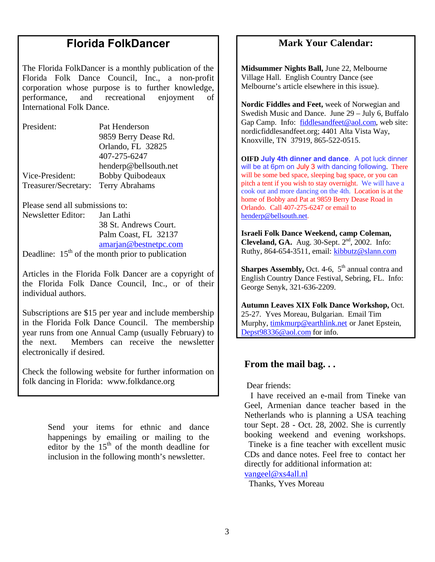# **Florida FolkDancer**

The Florida FolkDancer is a monthly publication of the Florida Folk Dance Council, Inc., a non-profit corporation whose purpose is to further knowledge, performance, and recreational enjoyment of International Folk Dance.

| President:           | Pat Henderson           |
|----------------------|-------------------------|
|                      | 9859 Berry Dease Rd.    |
|                      | Orlando, FL 32825       |
|                      | 407-275-6247            |
|                      | henderp@bellsouth.net   |
| Vice-President:      | <b>Bobby Quibodeaux</b> |
| Treasurer/Secretary: | Terry Abrahams          |

Please send all submissions to: Newsletter Editor: Jan Lathi 38 St. Andrews Court. Palm Coast, FL 32137 amarjan@bestnetpc.com

Deadline:  $15<sup>th</sup>$  of the month prior to publication

Articles in the Florida Folk Dancer are a copyright of the Florida Folk Dance Council, Inc., or of their individual authors.

Subscriptions are \$15 per year and include membership in the Florida Folk Dance Council. The membership year runs from one Annual Camp (usually February) to the next. Members can receive the newsletter electronically if desired.

Check the following website for further information on folk dancing in Florida: www.folkdance.org

> Send your items for ethnic and dance happenings by emailing or mailing to the editor by the  $15<sup>th</sup>$  of the month deadline for inclusion in the following month's newsletter.

## **Mark Your Calendar:**

**Midsummer Nights Ball,** June 22, Melbourne Village Hall. English Country Dance (see Melbourne's article elsewhere in this issue).

**Nordic Fiddles and Feet,** week of Norwegian and Swedish Music and Dance. June 29 – July 6, Buffalo Gap Camp. Info: fiddlesandfeet@aol.com, web site: nordicfiddlesandfeet.org; 4401 Alta Vista Way, Knoxville, TN 37919, 865-522-0515.

**OIFD July 4th dinner and dance**. A pot luck dinner will be at 6pm on July 3 with dancing following. There will be some bed space, sleeping bag space, or you can pitch a tent if you wish to stay overnight. We will have a cook out and more dancing on the 4th. Location is at the home of Bobby and Pat at 9859 Berry Dease Road in Orlando. Call 407-275-6247 or email to henderp@bellsouth.net.

**Israeli Folk Dance Weekend, camp Coleman, Cleveland, GA.** Aug. 30-Sept. 2<sup>nd</sup>, 2002. Info: Ruthy, 864-654-3511, email: kibbutz@slann.com

**Sharpes Assembly, Oct. 4-6, 5<sup>th</sup> annual contra and** English Country Dance Festival, Sebring, FL. Info: George Senyk, 321-636-2209.

**Autumn Leaves XIX Folk Dance Workshop,** Oct. 25-27. Yves Moreau, Bulgarian. Email Tim Murphy, timkmurp@earthlink.net or Janet Epstein, Depst98336@aol.com for info.

## **From the mail bag. . .**

Dear friends:

 I have received an e-mail from Tineke van Geel, Armenian dance teacher based in the Netherlands who is planning a USA teaching tour Sept. 28 - Oct. 28, 2002. She is currently booking weekend and evening workshops. Tineke is a fine teacher with excellent music

CDs and dance notes. Feel free to contact her directly for additional information at:

vangeel@xs4all.nl

Thanks, Yves Moreau